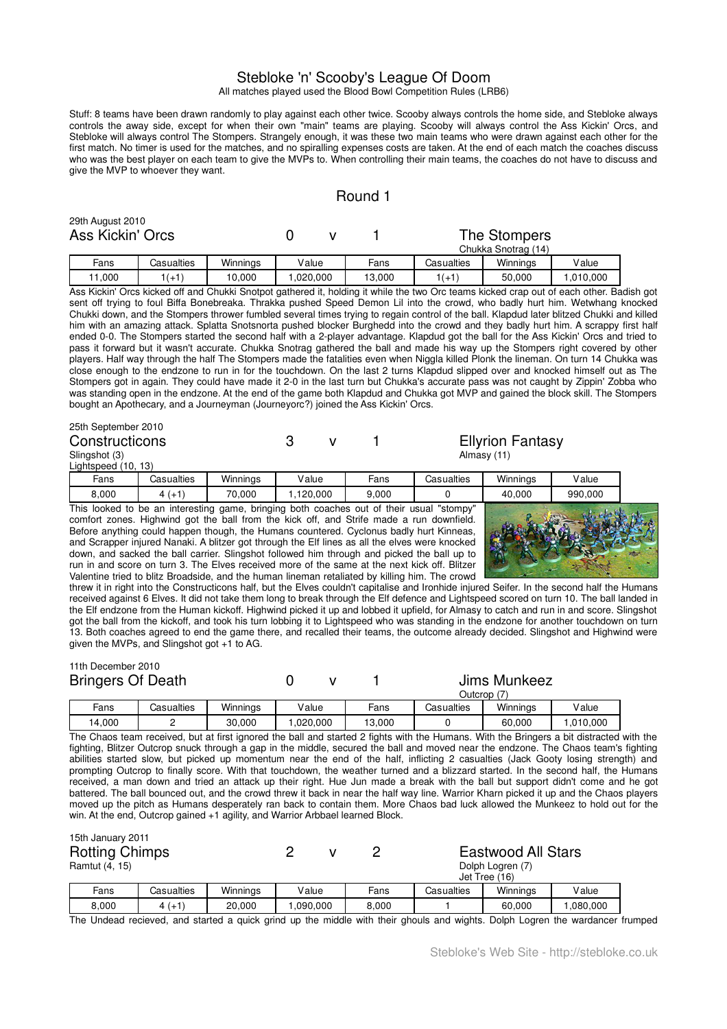# Stebloke 'n' Scooby's League Of Doom

All matches played used the Blood Bowl Competition Rules (LRB6)

Stuff: 8 teams have been drawn randomly to play against each other twice. Scooby always controls the home side, and Stebloke always controls the away side, except for when their own "main" teams are playing. Scooby will always control the Ass Kickin' Orcs, and Stebloke will always control The Stompers. Strangely enough, it was these two main teams who were drawn against each other for the first match. No timer is used for the matches, and no spiralling expenses costs are taken. At the end of each match the coaches discuss who was the best player on each team to give the MVPs to. When controlling their main teams, the coaches do not have to discuss and give the MVP to whoever they want.

## Round 1

|        | 29th August 2010<br>Ass Kickin' Orcs |            |          |          |  | The Stompers<br>Chukka Snotrag (14) |            |          |          |
|--------|--------------------------------------|------------|----------|----------|--|-------------------------------------|------------|----------|----------|
|        | Fans                                 | Casualties | Winnings | Value    |  | Fans                                | Casualties | Winnings | Value    |
| 11.000 |                                      | $1(+1)$    | 10,000   | .020.000 |  | 13,000                              | $1(+1)$    | 50,000   | .010.000 |

Ass Kickin' Orcs kicked off and Chukki Snotpot gathered it, holding it while the two Orc teams kicked crap out of each other. Badish got sent off trying to foul Biffa Bonebreaka. Thrakka pushed Speed Demon Lil into the crowd, who badly hurt him. Wetwhang knocked Chukki down, and the Stompers thrower fumbled several times trying to regain control of the ball. Klapdud later blitzed Chukki and killed him with an amazing attack. Splatta Snotsnorta pushed blocker Burghedd into the crowd and they badly hurt him. A scrappy first half ended 0-0. The Stompers started the second half with a 2-player advantage. Klapdud got the ball for the Ass Kickin' Orcs and tried to pass it forward but it wasn't accurate. Chukka Snotrag gathered the ball and made his way up the Stompers right covered by other players. Half way through the half The Stompers made the fatalities even when Niggla killed Plonk the lineman. On turn 14 Chukka was close enough to the endzone to run in for the touchdown. On the last 2 turns Klapdud slipped over and knocked himself out as The Stompers got in again. They could have made it 2-0 in the last turn but Chukka's accurate pass was not caught by Zippin' Zobba who was standing open in the endzone. At the end of the game both Klapdud and Chukka got MVP and gained the block skill. The Stompers bought an Apothecary, and a Journeyman (Journeyorc?) joined the Ass Kickin' Orcs.

### 25th September 2010 Constructicons 3 v 1 Ellyrion Fantasy<br>
Slingshot (3) 3 v 1 Almasy (11) Slingshot (3) Lightspeed (10 Fans Casualties Winnings Value Fans Casualties Winnings Value

8,000 | 4 $(+1)$  | 70,000 | 1,120,000 | 9,000 | 0 | 40,000 | 990,000 This looked to be an interesting game, bringing both coaches out of their usual "stompy comfort zones. Highwind got the ball from the kick off, and Strife made a run downfield. Before anything could happen though, the Humans countered. Cyclonus badly hurt Kinneas, and Scrapper injured Nanaki. A blitzer got through the Elf lines as all the elves were knocked down, and sacked the ball carrier. Slingshot followed him through and picked the ball up to run in and score on turn 3. The Elves received more of the same at the next kick off. Blitzer Valentine tried to blitz Broadside, and the human lineman retaliated by killing him. The crowd



threw it in right into the Constructicons half, but the Elves couldn't capitalise and Ironhide injured Seifer. In the second half the Humans received against 6 Elves. It did not take them long to break through the Elf defence and Lightspeed scored on turn 10. The ball landed in the Elf endzone from the Human kickoff. Highwind picked it up and lobbed it upfield, for Almasy to catch and run in and score. Slingshot got the ball from the kickoff, and took his turn lobbing it to Lightspeed who was standing in the endzone for another touchdown on turn 13. Both coaches agreed to end the game there, and recalled their teams, the outcome already decided. Slingshot and Highwind were given the MVPs, and Slingshot got +1 to AG.

#### 11th December 2010 Bringers Of Death  $\begin{matrix} 0 & v & 1 \end{matrix}$  Jims Munkeez Outcrop (7)

|       |                    |          |              |           | Outcrop    |                 |       |
|-------|--------------------|----------|--------------|-----------|------------|-----------------|-------|
| -ans  | Casualties         | Winnings | Value        | -<br>Fans | Casualties | Winnings        | Value |
| 4,000 | 30,000<br>.020.000 |          | 13.000<br>1C |           | 60.000     | .010.000<br>. ب |       |

The Chaos team received, but at first ignored the ball and started 2 fights with the Humans. With the Bringers a bit distracted with the fighting, Blitzer Outcrop snuck through a gap in the middle, secured the ball and moved near the endzone. The Chaos team's fighting abilities started slow, but picked up momentum near the end of the half, inflicting 2 casualties (Jack Gooty losing strength) and prompting Outcrop to finally score. With that touchdown, the weather turned and a blizzard started. In the second half, the Humans received, a man down and tried an attack up their right. Hue Jun made a break with the ball but support didn't come and he got battered. The ball bounced out, and the crowd threw it back in near the half way line. Warrior Kharn picked it up and the Chaos players moved up the pitch as Humans desperately ran back to contain them. More Chaos bad luck allowed the Munkeez to hold out for the win. At the end, Outcrop gained +1 agility, and Warrior Arbbael learned Block.

| 15th January 2011<br><b>Rotting Chimps</b><br>Ramtut (4, 15)<br>Winnings<br>Fans<br>Casualties |         |        |          |      | <b>Eastwood All Stars</b><br>Dolph Logren (7)<br>Jet Tree (16) |          |        |          |
|------------------------------------------------------------------------------------------------|---------|--------|----------|------|----------------------------------------------------------------|----------|--------|----------|
|                                                                                                |         |        | Value    | Fans | Casualties                                                     | Winnings | Value  |          |
| 8,000                                                                                          | $4(+1)$ | 20,000 | ,090,000 |      | 8,000                                                          |          | 60.000 | ,080,000 |

The Undead recieved, and started a quick grind up the middle with their ghouls and wights. Dolph Logren the wardancer frumped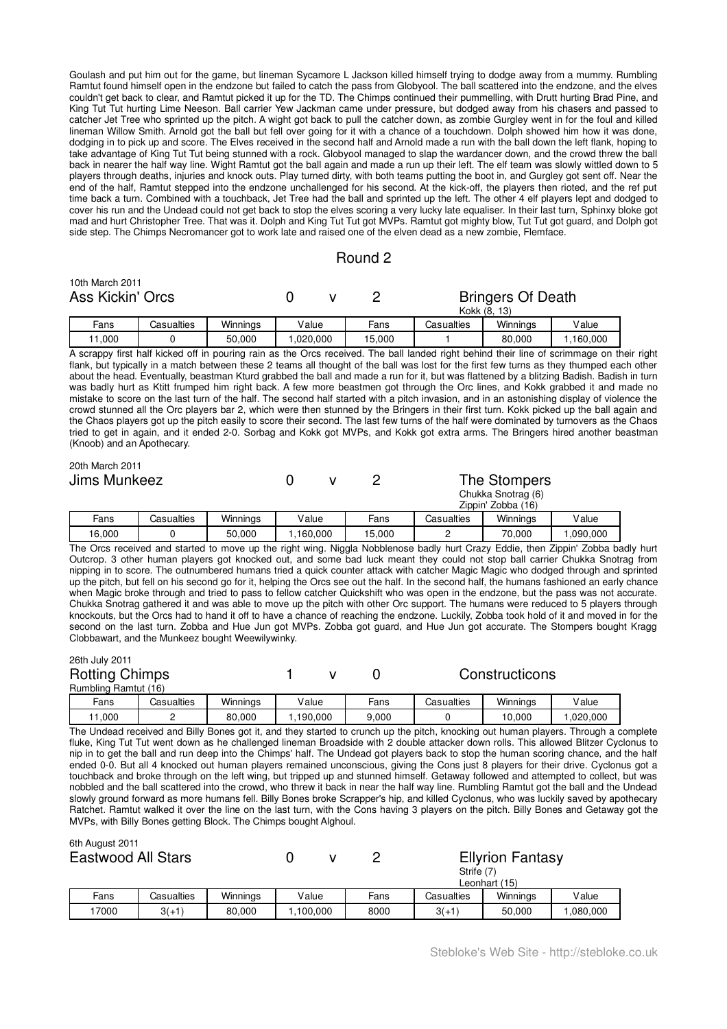Goulash and put him out for the game, but lineman Sycamore L Jackson killed himself trying to dodge away from a mummy. Rumbling Ramtut found himself open in the endzone but failed to catch the pass from Globyool. The ball scattered into the endzone, and the elves couldn't get back to clear, and Ramtut picked it up for the TD. The Chimps continued their pummelling, with Drutt hurting Brad Pine, and King Tut Tut hurting Lime Neeson. Ball carrier Yew Jackman came under pressure, but dodged away from his chasers and passed to catcher Jet Tree who sprinted up the pitch. A wight got back to pull the catcher down, as zombie Gurgley went in for the foul and killed lineman Willow Smith. Arnold got the ball but fell over going for it with a chance of a touchdown. Dolph showed him how it was done, dodging in to pick up and score. The Elves received in the second half and Arnold made a run with the ball down the left flank, hoping to take advantage of King Tut Tut being stunned with a rock. Globyool managed to slap the wardancer down, and the crowd threw the ball back in nearer the half way line. Wight Ramtut got the ball again and made a run up their left. The elf team was slowly wittled down to 5 players through deaths, injuries and knock outs. Play turned dirty, with both teams putting the boot in, and Gurgley got sent off. Near the end of the half, Ramtut stepped into the endzone unchallenged for his second. At the kick-off, the players then rioted, and the ref put time back a turn. Combined with a touchback, Jet Tree had the ball and sprinted up the left. The other 4 elf players lept and dodged to cover his run and the Undead could not get back to stop the elves scoring a very lucky late equaliser. In their last turn, Sphinxy bloke got mad and hurt Christopher Tree. That was it. Dolph and King Tut Tut got MVPs. Ramtut got mighty blow, Tut Tut got guard, and Dolph got side step. The Chimps Necromancer got to work late and raised one of the elven dead as a new zombie, Flemface.

### Round 2

| 10th March 2011<br>Ass Kickin' Orcs |            |          |       | Bringers Of Death<br>Kokk (8, 13) |      |            |          |       |
|-------------------------------------|------------|----------|-------|-----------------------------------|------|------------|----------|-------|
| Fans                                | Casualties | Winnings | Value |                                   | Fans | Casualties | Winnings | Value |
| 11.000<br>50.000                    |            | ,020,000 |       | 15.000                            |      | 80,000     | .160,000 |       |

A scrappy first half kicked off in pouring rain as the Orcs received. The ball landed right behind their line of scrimmage on their right flank, but typically in a match between these 2 teams all thought of the ball was lost for the first few turns as they thumped each other about the head. Eventually, beastman Kturd grabbed the ball and made a run for it, but was flattened by a blitzing Badish. Badish in turn was badly hurt as Ktitt frumped him right back. A few more beastmen got through the Orc lines, and Kokk grabbed it and made no mistake to score on the last turn of the half. The second half started with a pitch invasion, and in an astonishing display of violence the crowd stunned all the Orc players bar 2, which were then stunned by the Bringers in their first turn. Kokk picked up the ball again and the Chaos players got up the pitch easily to score their second. The last few turns of the half were dominated by turnovers as the Chaos tried to get in again, and it ended 2-0. Sorbag and Kokk got MVPs, and Kokk got extra arms. The Bringers hired another beastman (Knoob) and an Apothecary.

| 20th March 2011<br>Jims Munkeez |                  |            |           |        | The Stompers<br>Chukka Snotrag (6)<br>Zippin' Zobba (16) |            |           |       |
|---------------------------------|------------------|------------|-----------|--------|----------------------------------------------------------|------------|-----------|-------|
|                                 | Fans             | Casualties | Winnings  | Value  | Fans                                                     | Casualties | Winnings  | Value |
|                                 | 16,000<br>50,000 |            | 1,160,000 | 15,000 |                                                          | 70.000     | 1,090,000 |       |

The Orcs received and started to move up the right wing. Niggla Nobblenose badly hurt Crazy Eddie, then Zippin' Zobba badly hurt Outcrop. 3 other human players got knocked out, and some bad luck meant they could not stop ball carrier Chukka Snotrag from nipping in to score. The outnumbered humans tried a quick counter attack with catcher Magic Magic who dodged through and sprinted up the pitch, but fell on his second go for it, helping the Orcs see out the half. In the second half, the humans fashioned an early chance when Magic broke through and tried to pass to fellow catcher Quickshift who was open in the endzone, but the pass was not accurate. Chukka Snotrag gathered it and was able to move up the pitch with other Orc support. The humans were reduced to 5 players through knockouts, but the Orcs had to hand it off to have a chance of reaching the endzone. Luckily, Zobba took hold of it and moved in for the second on the last turn. Zobba and Hue Jun got MVPs. Zobba got guard, and Hue Jun got accurate. The Stompers bought Kragg Clobbawart, and the Munkeez bought Weewilywinky.

| 26th July 2011        |               |                 |          |   |                |                 |  |  |
|-----------------------|---------------|-----------------|----------|---|----------------|-----------------|--|--|
| <b>Rotting Chimps</b> |               |                 |          |   | Constructicons |                 |  |  |
| Rumbling Ramtut (16)  |               |                 |          |   |                |                 |  |  |
| Eonc                  | $C$ acualtioc | <i>Minnings</i> | مبراه ۱/ | E | Cacuplica      | <i>Minnings</i> |  |  |

| -ans | }asualties | Winnings | /alue   | Fans  | <i>i</i> asualties<br>بجەب | Winnings | V alue   |
|------|------------|----------|---------|-------|----------------------------|----------|----------|
| .000 |            | 80,000   | 190.000 | 9,000 |                            | 10.000   | .020.000 |
|      |            |          |         |       |                            |          |          |

The Undead received and Billy Bones got it, and they started to crunch up the pitch, knocking out human players. Through a complete fluke, King Tut Tut went down as he challenged lineman Broadside with 2 double attacker down rolls. This allowed Blitzer Cyclonus to nip in to get the ball and run deep into the Chimps' half. The Undead got players back to stop the human scoring chance, and the half ended 0-0. But all 4 knocked out human players remained unconscious, giving the Cons just 8 players for their drive. Cyclonus got a touchback and broke through on the left wing, but tripped up and stunned himself. Getaway followed and attempted to collect, but was nobbled and the ball scattered into the crowd, who threw it back in near the half way line. Rumbling Ramtut got the ball and the Undead slowly ground forward as more humans fell. Billy Bones broke Scrapper's hip, and killed Cyclonus, who was luckily saved by apothecary Ratchet. Ramtut walked it over the line on the last turn, with the Cons having 3 players on the pitch. Billy Bones and Getaway got the MVPs, with Billy Bones getting Block. The Chimps bought Alghoul.

|                           | <b>UUI AUGUSLEUT</b><br><b>Eastwood All Stars</b> |            |          |       |         | Strife (7) | <b>Ellyrion Fantasy</b><br>Leonhart (15) |       |
|---------------------------|---------------------------------------------------|------------|----------|-------|---------|------------|------------------------------------------|-------|
|                           | Fans                                              | Casualties | Winnings | Value | Fans    | Casualties | Winnings                                 | Value |
| 7000<br>$3(+1)$<br>80,000 |                                                   |            | ,100,000 | 8000  | $3(+1)$ | 50.000     | ,080,000                                 |       |

 $6th$  August 2011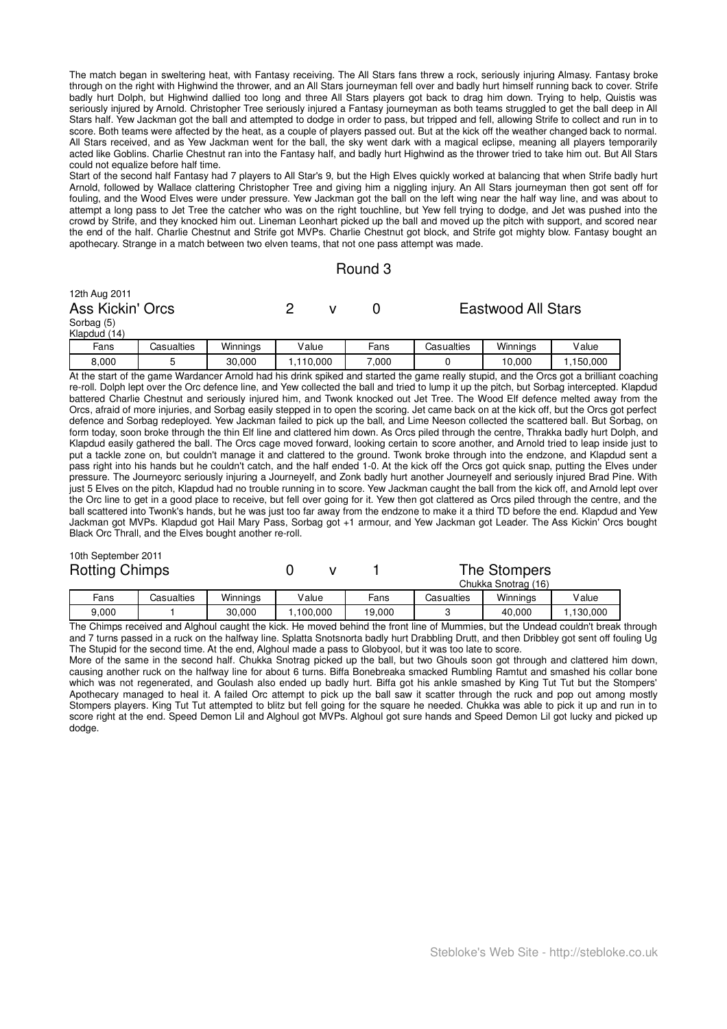The match began in sweltering heat, with Fantasy receiving. The All Stars fans threw a rock, seriously injuring Almasy. Fantasy broke through on the right with Highwind the thrower, and an All Stars journeyman fell over and badly hurt himself running back to cover. Strife badly hurt Dolph, but Highwind dallied too long and three All Stars players got back to drag him down. Trying to help, Quistis was seriously injured by Arnold. Christopher Tree seriously injured a Fantasy journeyman as both teams struggled to get the ball deep in All Stars half. Yew Jackman got the ball and attempted to dodge in order to pass, but tripped and fell, allowing Strife to collect and run in to score. Both teams were affected by the heat, as a couple of players passed out. But at the kick off the weather changed back to normal. All Stars received, and as Yew Jackman went for the ball, the sky went dark with a magical eclipse, meaning all players temporarily acted like Goblins. Charlie Chestnut ran into the Fantasy half, and badly hurt Highwind as the thrower tried to take him out. But All Stars could not equalize before half time.

Start of the second half Fantasy had 7 players to All Star's 9, but the High Elves quickly worked at balancing that when Strife badly hurt Arnold, followed by Wallace clattering Christopher Tree and giving him a niggling injury. An All Stars journeyman then got sent off for fouling, and the Wood Elves were under pressure. Yew Jackman got the ball on the left wing near the half way line, and was about to attempt a long pass to Jet Tree the catcher who was on the right touchline, but Yew fell trying to dodge, and Jet was pushed into the crowd by Strife, and they knocked him out. Lineman Leonhart picked up the ball and moved up the pitch with support, and scored near the end of the half. Charlie Chestnut and Strife got MVPs. Charlie Chestnut got block, and Strife got mighty blow. Fantasy bought an apothecary. Strange in a match between two elven teams, that not one pass attempt was made.

### Round 3

| 12th Aug 2011<br>Ass Kickin' Orcs<br>Sorbag (5)<br>Klapdud (14) |            |          |           |  |       | <b>Eastwood All Stars</b> |          |           |  |
|-----------------------------------------------------------------|------------|----------|-----------|--|-------|---------------------------|----------|-----------|--|
| Fans                                                            | Casualties | Winnings | Value     |  | Fans  | Casualties                | Winnings | Value     |  |
| 8,000                                                           | 5          | 30,000   | 1,110,000 |  | 7.000 |                           | 10.000   | 1,150,000 |  |

At the start of the game Wardancer Arnold had his drink spiked and started the game really stupid, and the Orcs got a brilliant coaching re-roll. Dolph lept over the Orc defence line, and Yew collected the ball and tried to lump it up the pitch, but Sorbag intercepted. Klapdud battered Charlie Chestnut and seriously injured him, and Twonk knocked out Jet Tree. The Wood Elf defence melted away from the Orcs, afraid of more injuries, and Sorbag easily stepped in to open the scoring. Jet came back on at the kick off, but the Orcs got perfect defence and Sorbag redeployed. Yew Jackman failed to pick up the ball, and Lime Neeson collected the scattered ball. But Sorbag, on form today, soon broke through the thin Elf line and clattered him down. As Orcs piled through the centre, Thrakka badly hurt Dolph, and Klapdud easily gathered the ball. The Orcs cage moved forward, looking certain to score another, and Arnold tried to leap inside just to put a tackle zone on, but couldn't manage it and clattered to the ground. Twonk broke through into the endzone, and Klapdud sent a pass right into his hands but he couldn't catch, and the half ended 1-0. At the kick off the Orcs got quick snap, putting the Elves under pressure. The Journeyorc seriously injuring a Journeyelf, and Zonk badly hurt another Journeyelf and seriously injured Brad Pine. With just 5 Elves on the pitch, Klapdud had no trouble running in to score. Yew Jackman caught the ball from the kick off, and Arnold lept over the Orc line to get in a good place to receive, but fell over going for it. Yew then got clattered as Orcs piled through the centre, and the ball scattered into Twonk's hands, but he was just too far away from the endzone to make it a third TD before the end. Klapdud and Yew Jackman got MVPs. Klapdud got Hail Mary Pass, Sorbag got +1 armour, and Yew Jackman got Leader. The Ass Kickin' Orcs bought Black Orc Thrall, and the Elves bought another re-roll.

| 10th September 2011   |  |
|-----------------------|--|
| <b>Rotting Chimps</b> |  |

0 v 1 The Stompers

| Chukka<br>Snotrag<br>(16) |            |          |         |        |            |          |         |  |  |
|---------------------------|------------|----------|---------|--------|------------|----------|---------|--|--|
| Fans                      | Casualties | Winninas | Value   | Fans   | Casualties | Winnings | Value   |  |  |
| 9.000                     |            | 30,000   | 100.000 | 19,000 |            | 40.000   | 130,000 |  |  |

The Chimps received and Alghoul caught the kick. He moved behind the front line of Mummies, but the Undead couldn't break through and 7 turns passed in a ruck on the halfway line. Splatta Snotsnorta badly hurt Drabbling Drutt, and then Dribbley got sent off fouling Ug The Stupid for the second time. At the end, Alghoul made a pass to Globyool, but it was too late to score.

More of the same in the second half. Chukka Snotrag picked up the ball, but two Ghouls soon got through and clattered him down, causing another ruck on the halfway line for about 6 turns. Biffa Bonebreaka smacked Rumbling Ramtut and smashed his collar bone which was not regenerated, and Goulash also ended up badly hurt. Biffa got his ankle smashed by King Tut Tut but the Stompers' Apothecary managed to heal it. A failed Orc attempt to pick up the ball saw it scatter through the ruck and pop out among mostly Stompers players. King Tut Tut attempted to blitz but fell going for the square he needed. Chukka was able to pick it up and run in to score right at the end. Speed Demon Lil and Alghoul got MVPs. Alghoul got sure hands and Speed Demon Lil got lucky and picked up dodge.